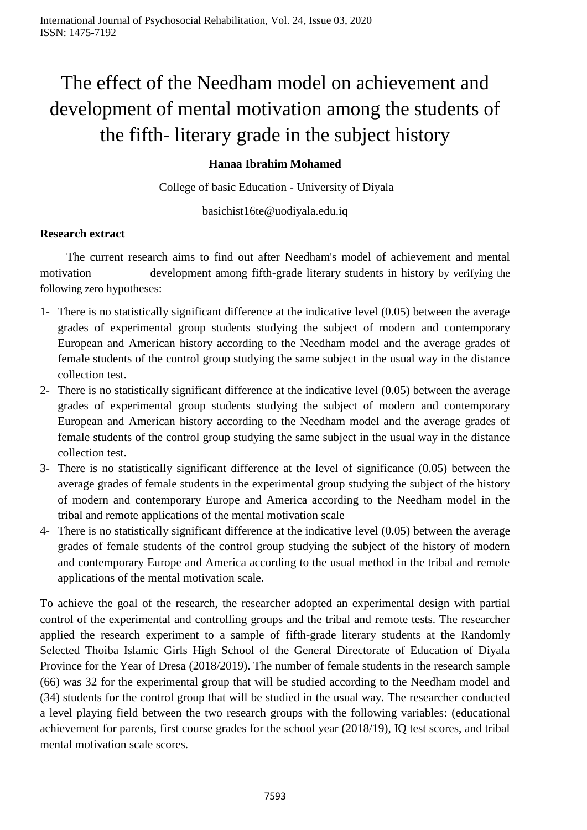# The effect of the Needham model on achievement and development of mental motivation among the students of the fifth- literary grade in the subject history

# **Hanaa Ibrahim Mohamed**

College of basic Education - University of Diyala

basichist16te@uodiyala.edu.iq

# **Research extract**

 The current research aims to find out after Needham's model of achievement and mental motivation development among fifth-grade literary students in history by verifying the following zero hypotheses:

- 1- There is no statistically significant difference at the indicative level (0.05) between the average grades of experimental group students studying the subject of modern and contemporary European and American history according to the Needham model and the average grades of female students of the control group studying the same subject in the usual way in the distance collection test.
- 2- There is no statistically significant difference at the indicative level (0.05) between the average grades of experimental group students studying the subject of modern and contemporary European and American history according to the Needham model and the average grades of female students of the control group studying the same subject in the usual way in the distance collection test.
- 3- There is no statistically significant difference at the level of significance (0.05) between the average grades of female students in the experimental group studying the subject of the history of modern and contemporary Europe and America according to the Needham model in the tribal and remote applications of the mental motivation scale
- 4- There is no statistically significant difference at the indicative level (0.05) between the average grades of female students of the control group studying the subject of the history of modern and contemporary Europe and America according to the usual method in the tribal and remote applications of the mental motivation scale.

To achieve the goal of the research, the researcher adopted an experimental design with partial control of the experimental and controlling groups and the tribal and remote tests. The researcher applied the research experiment to a sample of fifth-grade literary students at the Randomly Selected Thoiba Islamic Girls High School of the General Directorate of Education of Diyala Province for the Year of Dresa (2018/2019). The number of female students in the research sample (66) was 32 for the experimental group that will be studied according to the Needham model and (34) students for the control group that will be studied in the usual way. The researcher conducted a level playing field between the two research groups with the following variables: (educational achievement for parents, first course grades for the school year (2018/19), IQ test scores, and tribal mental motivation scale scores.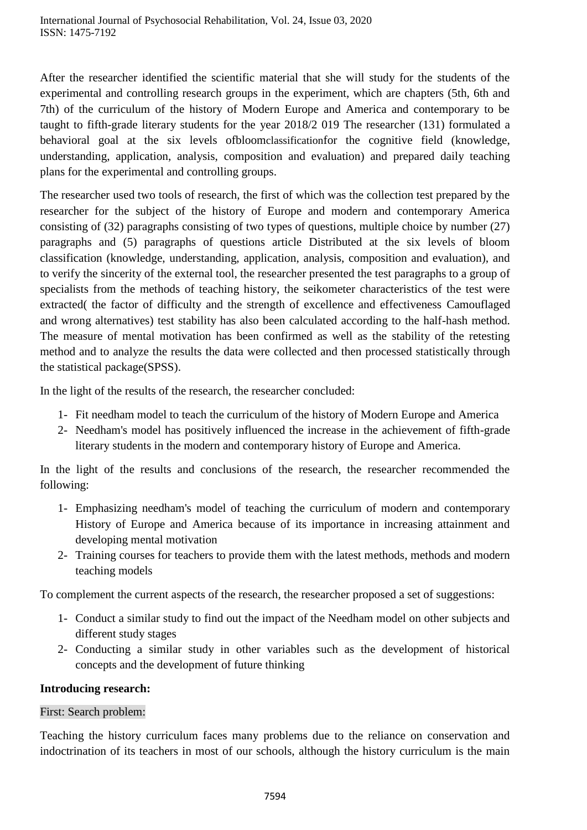After the researcher identified the scientific material that she will study for the students of the experimental and controlling research groups in the experiment, which are chapters (5th, 6th and 7th) of the curriculum of the history of Modern Europe and America and contemporary to be taught to fifth-grade literary students for the year 2018/2 019 The researcher (131) formulated a behavioral goal at the six levels ofbloomclassificationfor the cognitive field (knowledge, understanding, application, analysis, composition and evaluation) and prepared daily teaching plans for the experimental and controlling groups.

The researcher used two tools of research, the first of which was the collection test prepared by the researcher for the subject of the history of Europe and modern and contemporary America consisting of (32) paragraphs consisting of two types of questions, multiple choice by number (27) paragraphs and (5) paragraphs of questions article Distributed at the six levels of bloom classification (knowledge, understanding, application, analysis, composition and evaluation), and to verify the sincerity of the external tool, the researcher presented the test paragraphs to a group of specialists from the methods of teaching history, the seikometer characteristics of the test were extracted( the factor of difficulty and the strength of excellence and effectiveness Camouflaged and wrong alternatives) test stability has also been calculated according to the half-hash method. The measure of mental motivation has been confirmed as well as the stability of the retesting method and to analyze the results the data were collected and then processed statistically through the statistical package(SPSS).

In the light of the results of the research, the researcher concluded:

- 1- Fit needham model to teach the curriculum of the history of Modern Europe and America
- 2- Needham's model has positively influenced the increase in the achievement of fifth-grade literary students in the modern and contemporary history of Europe and America.

In the light of the results and conclusions of the research, the researcher recommended the following:

- 1- Emphasizing needham's model of teaching the curriculum of modern and contemporary History of Europe and America because of its importance in increasing attainment and developing mental motivation
- 2- Training courses for teachers to provide them with the latest methods, methods and modern teaching models

To complement the current aspects of the research, the researcher proposed a set of suggestions:

- 1- Conduct a similar study to find out the impact of the Needham model on other subjects and different study stages
- 2- Conducting a similar study in other variables such as the development of historical concepts and the development of future thinking

# **Introducing research:**

# First: Search problem:

Teaching the history curriculum faces many problems due to the reliance on conservation and indoctrination of its teachers in most of our schools, although the history curriculum is the main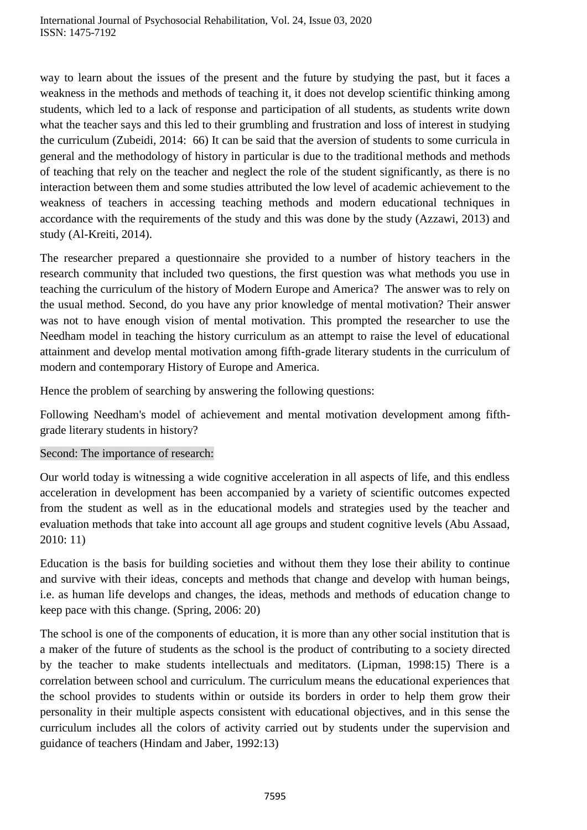way to learn about the issues of the present and the future by studying the past, but it faces a weakness in the methods and methods of teaching it, it does not develop scientific thinking among students, which led to a lack of response and participation of all students, as students write down what the teacher says and this led to their grumbling and frustration and loss of interest in studying the curriculum (Zubeidi, 2014: 66) It can be said that the aversion of students to some curricula in general and the methodology of history in particular is due to the traditional methods and methods of teaching that rely on the teacher and neglect the role of the student significantly, as there is no interaction between them and some studies attributed the low level of academic achievement to the weakness of teachers in accessing teaching methods and modern educational techniques in accordance with the requirements of the study and this was done by the study (Azzawi, 2013) and study (Al-Kreiti, 2014).

The researcher prepared a questionnaire she provided to a number of history teachers in the research community that included two questions, the first question was what methods you use in teaching the curriculum of the history of Modern Europe and America? The answer was to rely on the usual method. Second, do you have any prior knowledge of mental motivation? Their answer was not to have enough vision of mental motivation. This prompted the researcher to use the Needham model in teaching the history curriculum as an attempt to raise the level of educational attainment and develop mental motivation among fifth-grade literary students in the curriculum of modern and contemporary History of Europe and America.

Hence the problem of searching by answering the following questions:

Following Needham's model of achievement and mental motivation development among fifthgrade literary students in history?

# Second: The importance of research:

Our world today is witnessing a wide cognitive acceleration in all aspects of life, and this endless acceleration in development has been accompanied by a variety of scientific outcomes expected from the student as well as in the educational models and strategies used by the teacher and evaluation methods that take into account all age groups and student cognitive levels (Abu Assaad, 2010: 11)

Education is the basis for building societies and without them they lose their ability to continue and survive with their ideas, concepts and methods that change and develop with human beings, i.e. as human life develops and changes, the ideas, methods and methods of education change to keep pace with this change. (Spring, 2006: 20)

The school is one of the components of education, it is more than any other social institution that is a maker of the future of students as the school is the product of contributing to a society directed by the teacher to make students intellectuals and meditators. (Lipman, 1998:15) There is a correlation between school and curriculum. The curriculum means the educational experiences that the school provides to students within or outside its borders in order to help them grow their personality in their multiple aspects consistent with educational objectives, and in this sense the curriculum includes all the colors of activity carried out by students under the supervision and guidance of teachers (Hindam and Jaber, 1992:13)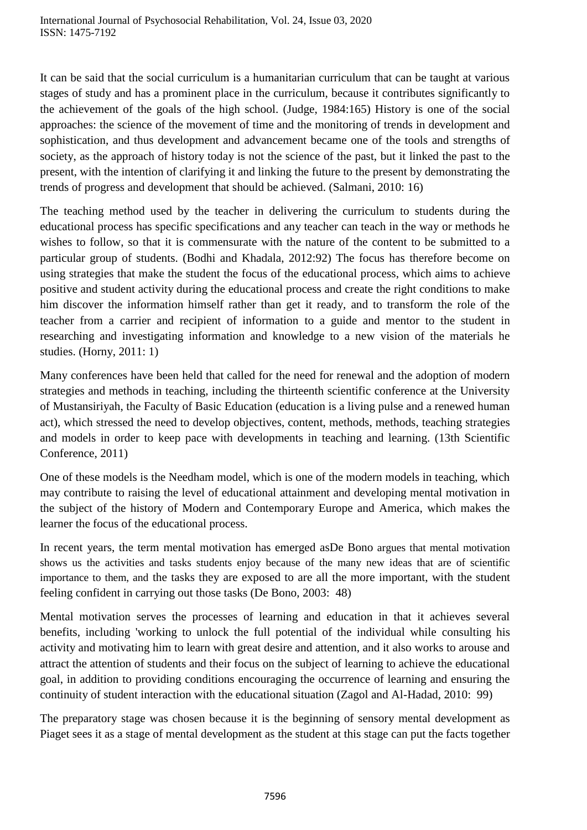It can be said that the social curriculum is a humanitarian curriculum that can be taught at various stages of study and has a prominent place in the curriculum, because it contributes significantly to the achievement of the goals of the high school. (Judge, 1984:165) History is one of the social approaches: the science of the movement of time and the monitoring of trends in development and sophistication, and thus development and advancement became one of the tools and strengths of society, as the approach of history today is not the science of the past, but it linked the past to the present, with the intention of clarifying it and linking the future to the present by demonstrating the trends of progress and development that should be achieved. (Salmani, 2010: 16)

The teaching method used by the teacher in delivering the curriculum to students during the educational process has specific specifications and any teacher can teach in the way or methods he wishes to follow, so that it is commensurate with the nature of the content to be submitted to a particular group of students. (Bodhi and Khadala, 2012:92) The focus has therefore become on using strategies that make the student the focus of the educational process, which aims to achieve positive and student activity during the educational process and create the right conditions to make him discover the information himself rather than get it ready, and to transform the role of the teacher from a carrier and recipient of information to a guide and mentor to the student in researching and investigating information and knowledge to a new vision of the materials he studies. (Horny, 2011: 1)

Many conferences have been held that called for the need for renewal and the adoption of modern strategies and methods in teaching, including the thirteenth scientific conference at the University of Mustansiriyah, the Faculty of Basic Education (education is a living pulse and a renewed human act), which stressed the need to develop objectives, content, methods, methods, teaching strategies and models in order to keep pace with developments in teaching and learning. (13th Scientific Conference, 2011)

One of these models is the Needham model, which is one of the modern models in teaching, which may contribute to raising the level of educational attainment and developing mental motivation in the subject of the history of Modern and Contemporary Europe and America, which makes the learner the focus of the educational process.

In recent years, the term mental motivation has emerged asDe Bono argues that mental motivation shows us the activities and tasks students enjoy because of the many new ideas that are of scientific importance to them, and the tasks they are exposed to are all the more important, with the student feeling confident in carrying out those tasks (De Bono, 2003: 48)

Mental motivation serves the processes of learning and education in that it achieves several benefits, including 'working to unlock the full potential of the individual while consulting his activity and motivating him to learn with great desire and attention, and it also works to arouse and attract the attention of students and their focus on the subject of learning to achieve the educational goal, in addition to providing conditions encouraging the occurrence of learning and ensuring the continuity of student interaction with the educational situation (Zagol and Al-Hadad, 2010: 99)

The preparatory stage was chosen because it is the beginning of sensory mental development as Piaget sees it as a stage of mental development as the student at this stage can put the facts together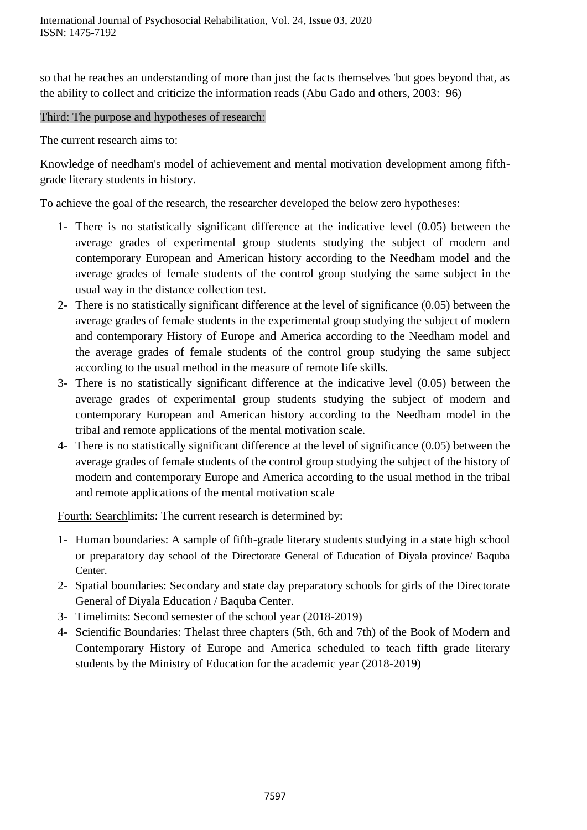so that he reaches an understanding of more than just the facts themselves 'but goes beyond that, as the ability to collect and criticize the information reads (Abu Gado and others, 2003: 96)

#### Third: The purpose and hypotheses of research:

The current research aims to:

Knowledge of needham's model of achievement and mental motivation development among fifthgrade literary students in history.

To achieve the goal of the research, the researcher developed the below zero hypotheses:

- 1- There is no statistically significant difference at the indicative level (0.05) between the average grades of experimental group students studying the subject of modern and contemporary European and American history according to the Needham model and the average grades of female students of the control group studying the same subject in the usual way in the distance collection test.
- 2- There is no statistically significant difference at the level of significance (0.05) between the average grades of female students in the experimental group studying the subject of modern and contemporary History of Europe and America according to the Needham model and the average grades of female students of the control group studying the same subject according to the usual method in the measure of remote life skills.
- 3- There is no statistically significant difference at the indicative level (0.05) between the average grades of experimental group students studying the subject of modern and contemporary European and American history according to the Needham model in the tribal and remote applications of the mental motivation scale.
- 4- There is no statistically significant difference at the level of significance (0.05) between the average grades of female students of the control group studying the subject of the history of modern and contemporary Europe and America according to the usual method in the tribal and remote applications of the mental motivation scale

Fourth: Searchlimits: The current research is determined by:

- 1- Human boundaries: A sample of fifth-grade literary students studying in a state high school or preparatory day school of the Directorate General of Education of Diyala province/ Baquba Center.
- 2- Spatial boundaries: Secondary and state day preparatory schools for girls of the Directorate General of Diyala Education / Baquba Center.
- 3- Timelimits: Second semester of the school year (2018-2019)
- 4- Scientific Boundaries: Thelast three chapters (5th, 6th and 7th) of the Book of Modern and Contemporary History of Europe and America scheduled to teach fifth grade literary students by the Ministry of Education for the academic year (2018-2019)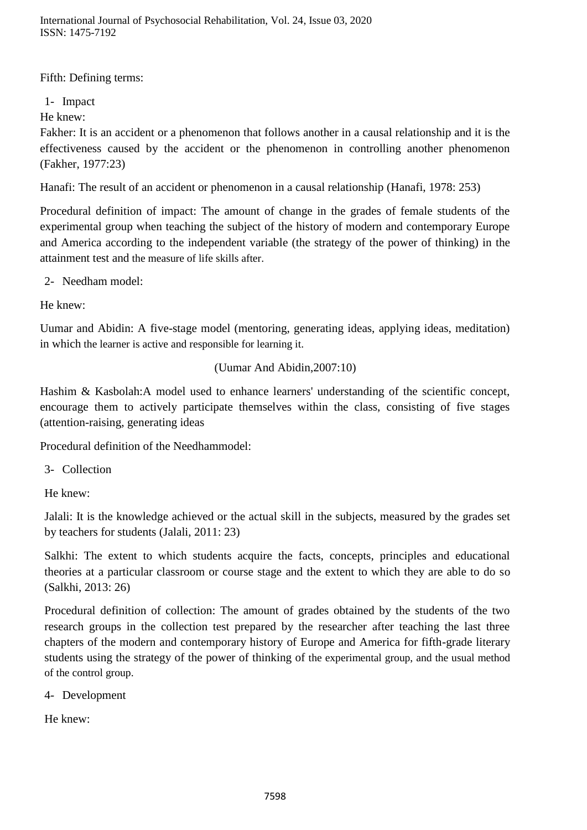International Journal of Psychosocial Rehabilitation, Vol. 24, Issue 03, 2020 ISSN: 1475-7192

Fifth: Defining terms:

1- Impact

He knew:

Fakher: It is an accident or a phenomenon that follows another in a causal relationship and it is the effectiveness caused by the accident or the phenomenon in controlling another phenomenon (Fakher, 1977:23)

Hanafi: The result of an accident or phenomenon in a causal relationship (Hanafi, 1978: 253)

Procedural definition of impact: The amount of change in the grades of female students of the experimental group when teaching the subject of the history of modern and contemporary Europe and America according to the independent variable (the strategy of the power of thinking) in the attainment test and the measure of life skills after.

2- Needham model:

He knew:

Uumar and Abidin: A five-stage model (mentoring, generating ideas, applying ideas, meditation) in which the learner is active and responsible for learning it.

#### (Uumar And Abidin,2007:10)

Hashim & Kasbolah:A model used to enhance learners' understanding of the scientific concept, encourage them to actively participate themselves within the class, consisting of five stages (attention-raising, generating ideas

Procedural definition of the Needhammodel:

3- Collection

He knew:

Jalali: It is the knowledge achieved or the actual skill in the subjects, measured by the grades set by teachers for students (Jalali, 2011: 23)

Salkhi: The extent to which students acquire the facts, concepts, principles and educational theories at a particular classroom or course stage and the extent to which they are able to do so (Salkhi, 2013: 26)

Procedural definition of collection: The amount of grades obtained by the students of the two research groups in the collection test prepared by the researcher after teaching the last three chapters of the modern and contemporary history of Europe and America for fifth-grade literary students using the strategy of the power of thinking of the experimental group, and the usual method of the control group.

4- Development

He knew: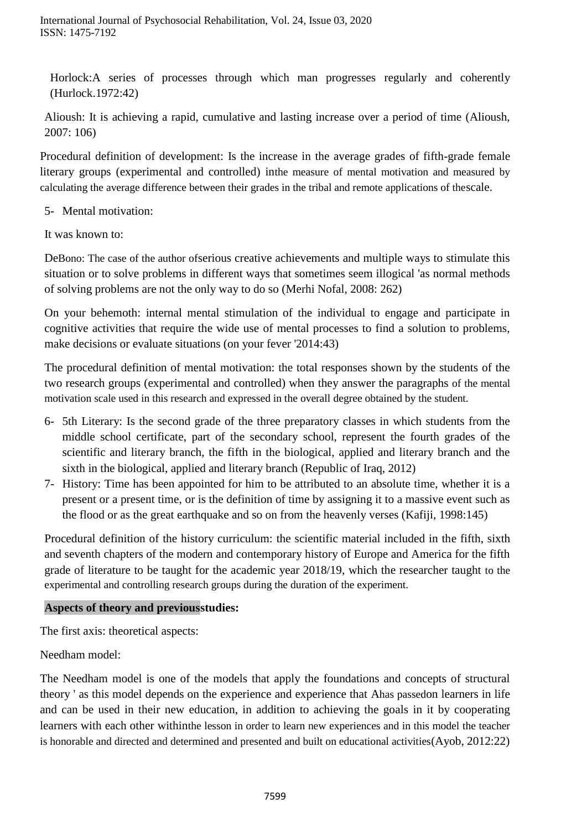Horlock:A series of processes through which man progresses regularly and coherently (Hurlock.1972:42)

Alioush: It is achieving a rapid, cumulative and lasting increase over a period of time (Alioush, 2007: 106)

Procedural definition of development: Is the increase in the average grades of fifth-grade female literary groups (experimental and controlled) inthe measure of mental motivation and measured by calculating the average difference between their grades in the tribal and remote applications of thescale.

5- Mental motivation:

It was known to:

DeBono: The case of the author ofserious creative achievements and multiple ways to stimulate this situation or to solve problems in different ways that sometimes seem illogical 'as normal methods of solving problems are not the only way to do so (Merhi Nofal, 2008: 262)

On your behemoth: internal mental stimulation of the individual to engage and participate in cognitive activities that require the wide use of mental processes to find a solution to problems, make decisions or evaluate situations (on your fever '2014:43)

The procedural definition of mental motivation: the total responses shown by the students of the two research groups (experimental and controlled) when they answer the paragraphs of the mental motivation scale used in this research and expressed in the overall degree obtained by the student.

- 6- 5th Literary: Is the second grade of the three preparatory classes in which students from the middle school certificate, part of the secondary school, represent the fourth grades of the scientific and literary branch, the fifth in the biological, applied and literary branch and the sixth in the biological, applied and literary branch (Republic of Iraq, 2012)
- 7- History: Time has been appointed for him to be attributed to an absolute time, whether it is a present or a present time, or is the definition of time by assigning it to a massive event such as the flood or as the great earthquake and so on from the heavenly verses (Kafiji, 1998:145)

Procedural definition of the history curriculum: the scientific material included in the fifth, sixth and seventh chapters of the modern and contemporary history of Europe and America for the fifth grade of literature to be taught for the academic year 2018/19, which the researcher taught to the experimental and controlling research groups during the duration of the experiment.

# **Aspects of theory and previousstudies:**

The first axis: theoretical aspects:

# Needham model:

The Needham model is one of the models that apply the foundations and concepts of structural theory ' as this model depends on the experience and experience that Ahas passedon learners in life and can be used in their new education, in addition to achieving the goals in it by cooperating learners with each other withinthe lesson in order to learn new experiences and in this model the teacher is honorable and directed and determined and presented and built on educational activities(Ayob, 2012:22)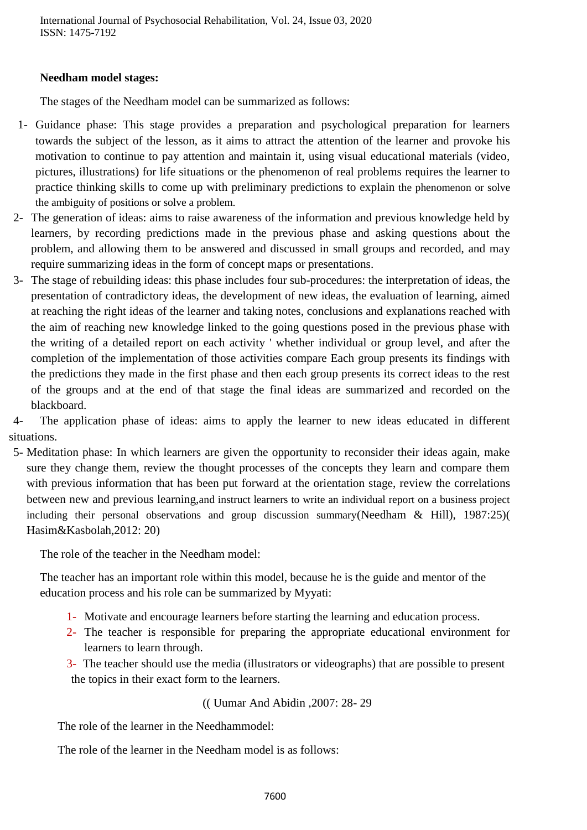#### **Needham model stages:**

The stages of the Needham model can be summarized as follows:

- 1- Guidance phase: This stage provides a preparation and psychological preparation for learners towards the subject of the lesson, as it aims to attract the attention of the learner and provoke his motivation to continue to pay attention and maintain it, using visual educational materials (video, pictures, illustrations) for life situations or the phenomenon of real problems requires the learner to practice thinking skills to come up with preliminary predictions to explain the phenomenon or solve the ambiguity of positions or solve a problem.
- 2- The generation of ideas: aims to raise awareness of the information and previous knowledge held by learners, by recording predictions made in the previous phase and asking questions about the problem, and allowing them to be answered and discussed in small groups and recorded, and may require summarizing ideas in the form of concept maps or presentations.
- 3- The stage of rebuilding ideas: this phase includes four sub-procedures: the interpretation of ideas, the presentation of contradictory ideas, the development of new ideas, the evaluation of learning, aimed at reaching the right ideas of the learner and taking notes, conclusions and explanations reached with the aim of reaching new knowledge linked to the going questions posed in the previous phase with the writing of a detailed report on each activity ' whether individual or group level, and after the completion of the implementation of those activities compare Each group presents its findings with the predictions they made in the first phase and then each group presents its correct ideas to the rest of the groups and at the end of that stage the final ideas are summarized and recorded on the blackboard.

4- The application phase of ideas: aims to apply the learner to new ideas educated in different situations.

5- Meditation phase: In which learners are given the opportunity to reconsider their ideas again, make sure they change them, review the thought processes of the concepts they learn and compare them with previous information that has been put forward at the orientation stage, review the correlations between new and previous learning,and instruct learners to write an individual report on a business project including their personal observations and group discussion summary (Needham  $\&$  Hill), 1987:25) Hasim&Kasbolah,2012: 20)

The role of the teacher in the Needham model:

The teacher has an important role within this model, because he is the guide and mentor of the education process and his role can be summarized by Myyati:

- 1- Motivate and encourage learners before starting the learning and education process.
- 2- The teacher is responsible for preparing the appropriate educational environment for learners to learn through.
- 3- The teacher should use the media (illustrators or videographs) that are possible to present the topics in their exact form to the learners.

(( Uumar And Abidin ,2007: 28- 29

The role of the learner in the Needhammodel:

The role of the learner in the Needham model is as follows: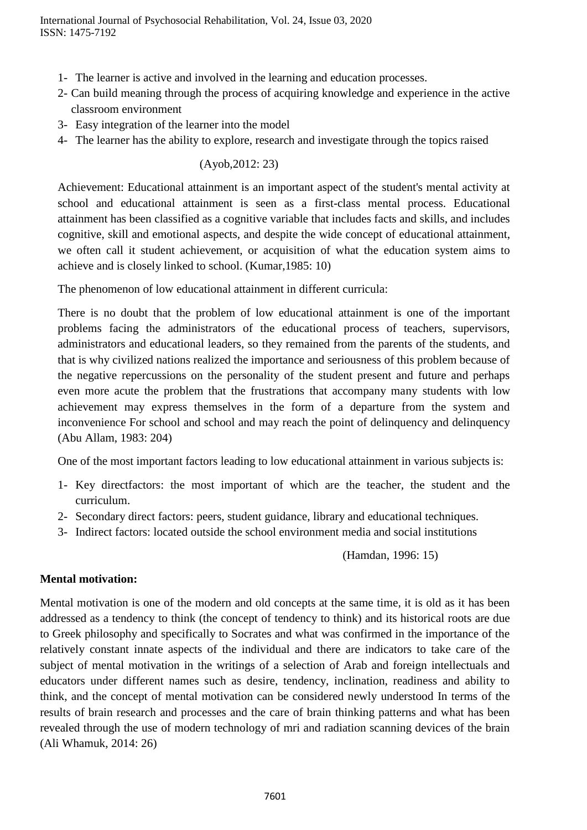- 1- The learner is active and involved in the learning and education processes.
- 2- Can build meaning through the process of acquiring knowledge and experience in the active classroom environment
- 3- Easy integration of the learner into the model
- 4- The learner has the ability to explore, research and investigate through the topics raised

### (Ayob,2012: 23)

Achievement: Educational attainment is an important aspect of the student's mental activity at school and educational attainment is seen as a first-class mental process. Educational attainment has been classified as a cognitive variable that includes facts and skills, and includes cognitive, skill and emotional aspects, and despite the wide concept of educational attainment, we often call it student achievement, or acquisition of what the education system aims to achieve and is closely linked to school. (Kumar,1985: 10)

The phenomenon of low educational attainment in different curricula:

There is no doubt that the problem of low educational attainment is one of the important problems facing the administrators of the educational process of teachers, supervisors, administrators and educational leaders, so they remained from the parents of the students, and that is why civilized nations realized the importance and seriousness of this problem because of the negative repercussions on the personality of the student present and future and perhaps even more acute the problem that the frustrations that accompany many students with low achievement may express themselves in the form of a departure from the system and inconvenience For school and school and may reach the point of delinquency and delinquency (Abu Allam, 1983: 204)

One of the most important factors leading to low educational attainment in various subjects is:

- 1- Key directfactors: the most important of which are the teacher, the student and the curriculum.
- 2- Secondary direct factors: peers, student guidance, library and educational techniques.
- 3- Indirect factors: located outside the school environment media and social institutions

(Hamdan, 1996: 15)

# **Mental motivation:**

Mental motivation is one of the modern and old concepts at the same time, it is old as it has been addressed as a tendency to think (the concept of tendency to think) and its historical roots are due to Greek philosophy and specifically to Socrates and what was confirmed in the importance of the relatively constant innate aspects of the individual and there are indicators to take care of the subject of mental motivation in the writings of a selection of Arab and foreign intellectuals and educators under different names such as desire, tendency, inclination, readiness and ability to think, and the concept of mental motivation can be considered newly understood In terms of the results of brain research and processes and the care of brain thinking patterns and what has been revealed through the use of modern technology of mri and radiation scanning devices of the brain (Ali Whamuk, 2014: 26)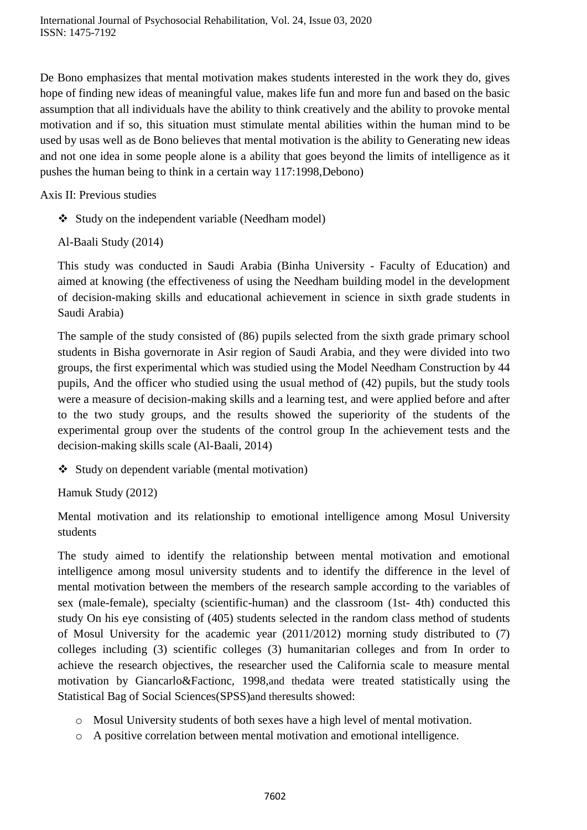De Bono emphasizes that mental motivation makes students interested in the work they do, gives hope of finding new ideas of meaningful value, makes life fun and more fun and based on the basic assumption that all individuals have the ability to think creatively and the ability to provoke mental motivation and if so, this situation must stimulate mental abilities within the human mind to be used by usas well as de Bono believes that mental motivation is the ability to Generating new ideas and not one idea in some people alone is a ability that goes beyond the limits of intelligence as it pushes the human being to think in a certain way 117:1998,Debono)

Axis II: Previous studies

- $\triangleleft$  Study on the independent variable (Needham model)
- Al-Baali Study (2014)

This study was conducted in Saudi Arabia (Binha University - Faculty of Education) and aimed at knowing (the effectiveness of using the Needham building model in the development of decision-making skills and educational achievement in science in sixth grade students in Saudi Arabia)

The sample of the study consisted of (86) pupils selected from the sixth grade primary school students in Bisha governorate in Asir region of Saudi Arabia, and they were divided into two groups, the first experimental which was studied using the Model Needham Construction by 44 pupils, And the officer who studied using the usual method of (42) pupils, but the study tools were a measure of decision-making skills and a learning test, and were applied before and after to the two study groups, and the results showed the superiority of the students of the experimental group over the students of the control group In the achievement tests and the decision-making skills scale (Al-Baali, 2014)

Study on dependent variable (mental motivation)

Hamuk Study (2012)

Mental motivation and its relationship to emotional intelligence among Mosul University students

The study aimed to identify the relationship between mental motivation and emotional intelligence among mosul university students and to identify the difference in the level of mental motivation between the members of the research sample according to the variables of sex (male-female), specialty (scientific-human) and the classroom (1st- 4th) conducted this study On his eye consisting of (405) students selected in the random class method of students of Mosul University for the academic year (2011/2012) morning study distributed to (7) colleges including (3) scientific colleges (3) humanitarian colleges and from In order to achieve the research objectives, the researcher used the California scale to measure mental motivation by Giancarlo&Factionc, 1998,and thedata were treated statistically using the Statistical Bag of Social Sciences(SPSS)and theresults showed:

- o Mosul University students of both sexes have a high level of mental motivation.
- o A positive correlation between mental motivation and emotional intelligence.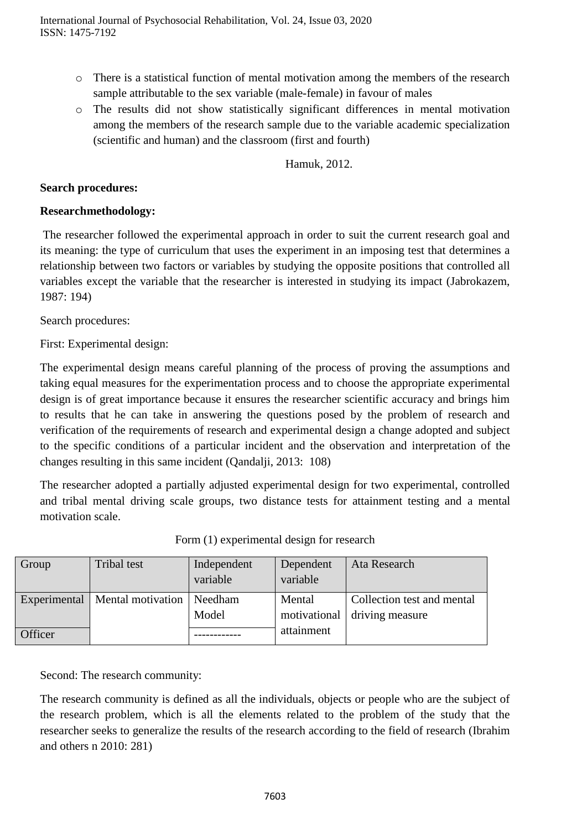- o There is a statistical function of mental motivation among the members of the research sample attributable to the sex variable (male-female) in favour of males
- o The results did not show statistically significant differences in mental motivation among the members of the research sample due to the variable academic specialization (scientific and human) and the classroom (first and fourth)

Hamuk, 2012.

### **Search procedures:**

# **Researchmethodology:**

The researcher followed the experimental approach in order to suit the current research goal and its meaning: the type of curriculum that uses the experiment in an imposing test that determines a relationship between two factors or variables by studying the opposite positions that controlled all variables except the variable that the researcher is interested in studying its impact (Jabrokazem, 1987: 194)

Search procedures:

First: Experimental design:

The experimental design means careful planning of the process of proving the assumptions and taking equal measures for the experimentation process and to choose the appropriate experimental design is of great importance because it ensures the researcher scientific accuracy and brings him to results that he can take in answering the questions posed by the problem of research and verification of the requirements of research and experimental design a change adopted and subject to the specific conditions of a particular incident and the observation and interpretation of the changes resulting in this same incident (Qandalji, 2013: 108)

The researcher adopted a partially adjusted experimental design for two experimental, controlled and tribal mental driving scale groups, two distance tests for attainment testing and a mental motivation scale.

| Group        | Tribal test       | Independent | Dependent  | Ata Research                 |
|--------------|-------------------|-------------|------------|------------------------------|
|              |                   | variable    | variable   |                              |
| Experimental | Mental motivation | Needham     | Mental     | Collection test and mental   |
|              |                   | Model       |            | motivational driving measure |
| Officer      |                   |             | attainment |                              |

| Form (1) experimental design for research |  |  |
|-------------------------------------------|--|--|
|-------------------------------------------|--|--|

Second: The research community:

The research community is defined as all the individuals, objects or people who are the subject of the research problem, which is all the elements related to the problem of the study that the researcher seeks to generalize the results of the research according to the field of research (Ibrahim and others n 2010: 281)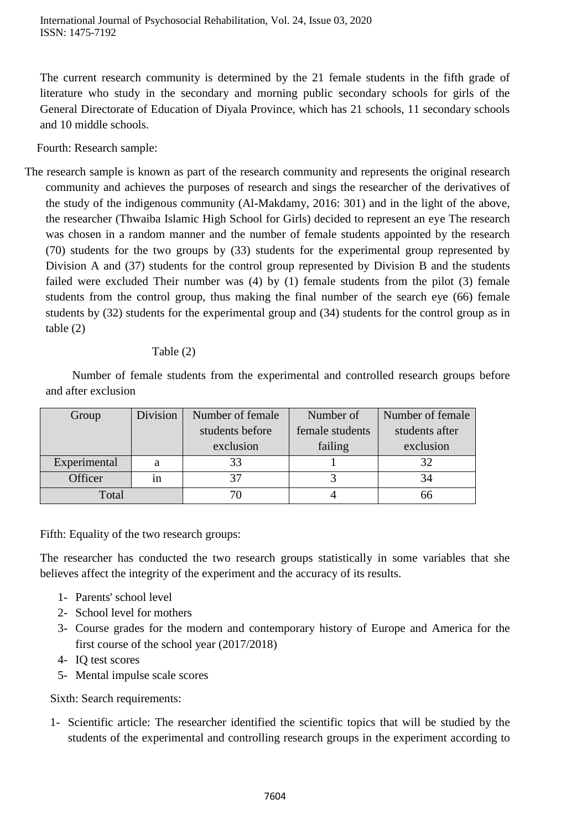The current research community is determined by the 21 female students in the fifth grade of literature who study in the secondary and morning public secondary schools for girls of the General Directorate of Education of Diyala Province, which has 21 schools, 11 secondary schools and 10 middle schools.

Fourth: Research sample:

The research sample is known as part of the research community and represents the original research community and achieves the purposes of research and sings the researcher of the derivatives of the study of the indigenous community (Al-Makdamy, 2016: 301) and in the light of the above, the researcher (Thwaiba Islamic High School for Girls) decided to represent an eye The research was chosen in a random manner and the number of female students appointed by the research (70) students for the two groups by (33) students for the experimental group represented by Division A and (37) students for the control group represented by Division B and the students failed were excluded Their number was (4) by (1) female students from the pilot (3) female students from the control group, thus making the final number of the search eye (66) female students by (32) students for the experimental group and (34) students for the control group as in table (2)

# Table (2)

 Number of female students from the experimental and controlled research groups before and after exclusion

| Group        | Division | Number of female | Number of       | Number of female |  |
|--------------|----------|------------------|-----------------|------------------|--|
|              |          | students before  | female students | students after   |  |
|              |          | exclusion        | failing         | exclusion        |  |
| Experimental | a        |                  |                 | 32               |  |
| Officer      | 1n       |                  |                 | 34               |  |
| Total        |          |                  |                 | 66               |  |

Fifth: Equality of the two research groups:

The researcher has conducted the two research groups statistically in some variables that she believes affect the integrity of the experiment and the accuracy of its results.

- 1- Parents' school level
- 2- School level for mothers
- 3- Course grades for the modern and contemporary history of Europe and America for the first course of the school year (2017/2018)
- 4- IQ test scores
- 5- Mental impulse scale scores

Sixth: Search requirements:

1- Scientific article: The researcher identified the scientific topics that will be studied by the students of the experimental and controlling research groups in the experiment according to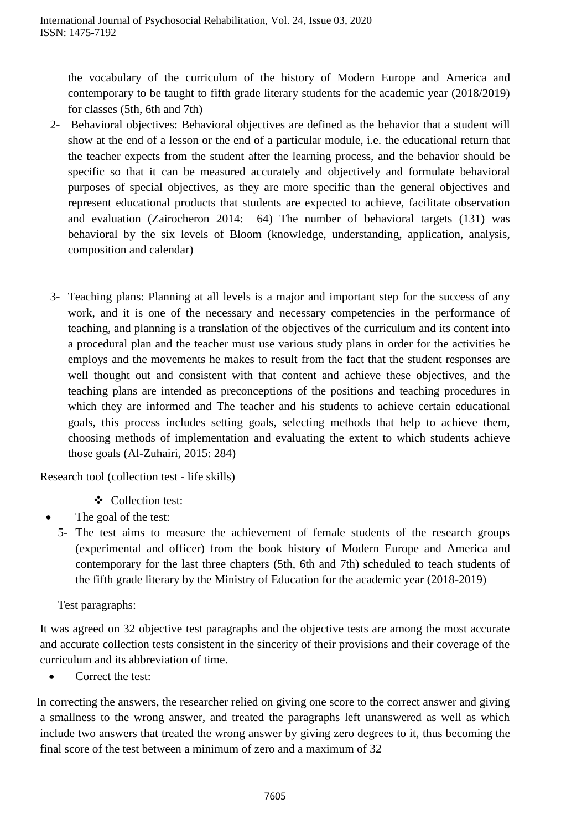the vocabulary of the curriculum of the history of Modern Europe and America and contemporary to be taught to fifth grade literary students for the academic year (2018/2019) for classes (5th, 6th and 7th)

- 2- Behavioral objectives: Behavioral objectives are defined as the behavior that a student will show at the end of a lesson or the end of a particular module, i.e. the educational return that the teacher expects from the student after the learning process, and the behavior should be specific so that it can be measured accurately and objectively and formulate behavioral purposes of special objectives, as they are more specific than the general objectives and represent educational products that students are expected to achieve, facilitate observation and evaluation (Zairocheron 2014: 64) The number of behavioral targets (131) was behavioral by the six levels of Bloom (knowledge, understanding, application, analysis, composition and calendar)
- 3- Teaching plans: Planning at all levels is a major and important step for the success of any work, and it is one of the necessary and necessary competencies in the performance of teaching, and planning is a translation of the objectives of the curriculum and its content into a procedural plan and the teacher must use various study plans in order for the activities he employs and the movements he makes to result from the fact that the student responses are well thought out and consistent with that content and achieve these objectives, and the teaching plans are intended as preconceptions of the positions and teaching procedures in which they are informed and The teacher and his students to achieve certain educational goals, this process includes setting goals, selecting methods that help to achieve them, choosing methods of implementation and evaluating the extent to which students achieve those goals (Al-Zuhairi, 2015: 284)

Research tool (collection test - life skills)

- Collection test:
- The goal of the test:
- 5- The test aims to measure the achievement of female students of the research groups (experimental and officer) from the book history of Modern Europe and America and contemporary for the last three chapters (5th, 6th and 7th) scheduled to teach students of the fifth grade literary by the Ministry of Education for the academic year (2018-2019)

Test paragraphs:

It was agreed on 32 objective test paragraphs and the objective tests are among the most accurate and accurate collection tests consistent in the sincerity of their provisions and their coverage of the curriculum and its abbreviation of time.

Correct the test:

In correcting the answers, the researcher relied on giving one score to the correct answer and giving a smallness to the wrong answer, and treated the paragraphs left unanswered as well as which include two answers that treated the wrong answer by giving zero degrees to it, thus becoming the final score of the test between a minimum of zero and a maximum of 32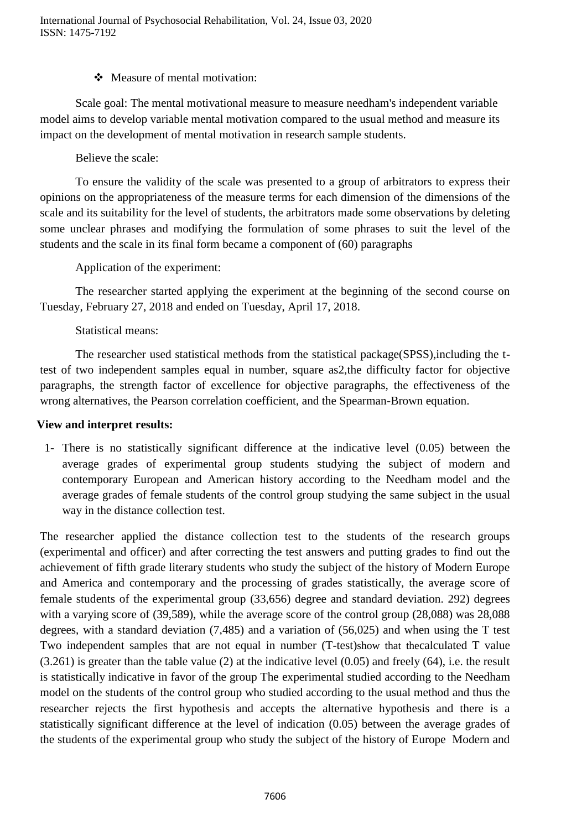# • Measure of mental motivation:

Scale goal: The mental motivational measure to measure needham's independent variable model aims to develop variable mental motivation compared to the usual method and measure its impact on the development of mental motivation in research sample students.

Believe the scale:

To ensure the validity of the scale was presented to a group of arbitrators to express their opinions on the appropriateness of the measure terms for each dimension of the dimensions of the scale and its suitability for the level of students, the arbitrators made some observations by deleting some unclear phrases and modifying the formulation of some phrases to suit the level of the students and the scale in its final form became a component of (60) paragraphs

Application of the experiment:

The researcher started applying the experiment at the beginning of the second course on Tuesday, February 27, 2018 and ended on Tuesday, April 17, 2018.

# Statistical means:

The researcher used statistical methods from the statistical package(SPSS),including the ttest of two independent samples equal in number, square as2,the difficulty factor for objective paragraphs, the strength factor of excellence for objective paragraphs, the effectiveness of the wrong alternatives, the Pearson correlation coefficient, and the Spearman-Brown equation.

# **View and interpret results:**

1- There is no statistically significant difference at the indicative level (0.05) between the average grades of experimental group students studying the subject of modern and contemporary European and American history according to the Needham model and the average grades of female students of the control group studying the same subject in the usual way in the distance collection test.

The researcher applied the distance collection test to the students of the research groups (experimental and officer) and after correcting the test answers and putting grades to find out the achievement of fifth grade literary students who study the subject of the history of Modern Europe and America and contemporary and the processing of grades statistically, the average score of female students of the experimental group (33,656) degree and standard deviation. 292) degrees with a varying score of (39,589), while the average score of the control group (28,088) was 28,088 degrees, with a standard deviation (7,485) and a variation of (56,025) and when using the T test Two independent samples that are not equal in number (T-test)show that thecalculated T value (3.261) is greater than the table value (2) at the indicative level (0.05) and freely (64), i.e. the result is statistically indicative in favor of the group The experimental studied according to the Needham model on the students of the control group who studied according to the usual method and thus the researcher rejects the first hypothesis and accepts the alternative hypothesis and there is a statistically significant difference at the level of indication (0.05) between the average grades of the students of the experimental group who study the subject of the history of Europe Modern and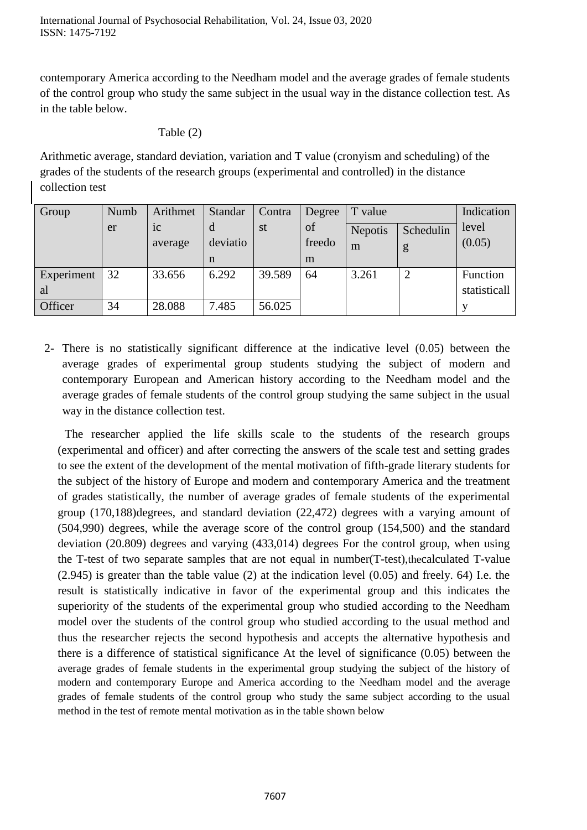contemporary America according to the Needham model and the average grades of female students of the control group who study the same subject in the usual way in the distance collection test. As in the table below.

#### Table (2)

Arithmetic average, standard deviation, variation and T value (cronyism and scheduling) of the grades of the students of the research groups (experimental and controlled) in the distance collection test

| Group      | Numb | Arithmet       | Standar  | Contra | Degree | T value        |           | Indication   |
|------------|------|----------------|----------|--------|--------|----------------|-----------|--------------|
|            | er   | 1 <sup>c</sup> | d        | st     | of     | <b>Nepotis</b> | Schedulin | level        |
|            |      | average        | deviatio |        | freedo | m              | g         | (0.05)       |
|            |      |                | n        |        | m      |                |           |              |
| Experiment | 32   | 33.656         | 6.292    | 39.589 | 64     | 3.261          | ി         | Function     |
| al         |      |                |          |        |        |                |           | statisticall |
| Officer    | 34   | 28.088         | 7.485    | 56.025 |        |                |           |              |

2- There is no statistically significant difference at the indicative level (0.05) between the average grades of experimental group students studying the subject of modern and contemporary European and American history according to the Needham model and the average grades of female students of the control group studying the same subject in the usual way in the distance collection test.

The researcher applied the life skills scale to the students of the research groups (experimental and officer) and after correcting the answers of the scale test and setting grades to see the extent of the development of the mental motivation of fifth-grade literary students for the subject of the history of Europe and modern and contemporary America and the treatment of grades statistically, the number of average grades of female students of the experimental group (170,188)degrees, and standard deviation (22,472) degrees with a varying amount of (504,990) degrees, while the average score of the control group (154,500) and the standard deviation (20.809) degrees and varying (433,014) degrees For the control group, when using the T-test of two separate samples that are not equal in number(T-test),thecalculated T-value (2.945) is greater than the table value (2) at the indication level (0.05) and freely. 64) I.e. the result is statistically indicative in favor of the experimental group and this indicates the superiority of the students of the experimental group who studied according to the Needham model over the students of the control group who studied according to the usual method and thus the researcher rejects the second hypothesis and accepts the alternative hypothesis and there is a difference of statistical significance At the level of significance (0.05) between the average grades of female students in the experimental group studying the subject of the history of modern and contemporary Europe and America according to the Needham model and the average grades of female students of the control group who study the same subject according to the usual method in the test of remote mental motivation as in the table shown below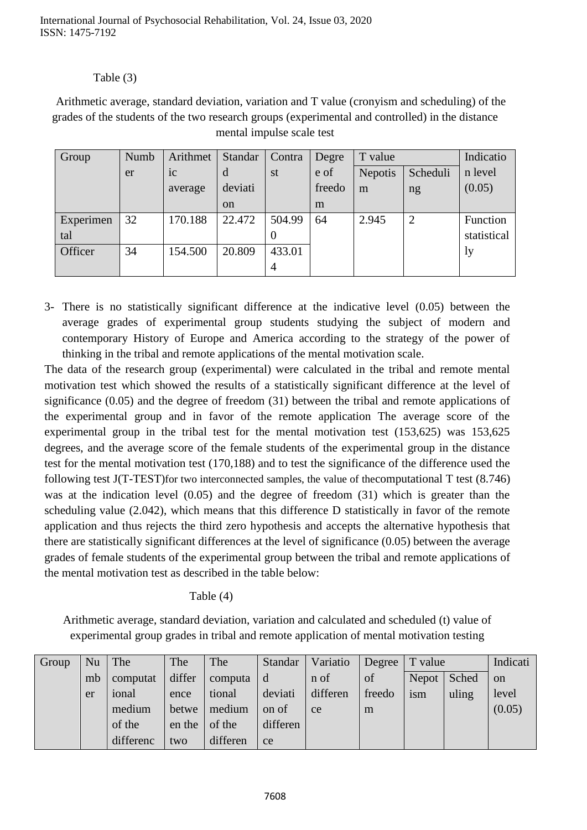# Table (3)

 Arithmetic average, standard deviation, variation and T value (cronyism and scheduling) of the grades of the students of the two research groups (experimental and controlled) in the distance mental impulse scale test

| Group     | Numb | Arithmet       | Standar       | Contra | Degre  | T value                    |                | Indicatio   |
|-----------|------|----------------|---------------|--------|--------|----------------------------|----------------|-------------|
|           | er   | 1 <sup>C</sup> | d             | st     | e of   | Scheduli<br><b>Nepotis</b> |                | n level     |
|           |      | average        | deviati       |        | freedo | m                          | ng             | (0.05)      |
|           |      |                | <sub>on</sub> |        | m      |                            |                |             |
| Experimen | 32   | 170.188        | 22.472        | 504.99 | 64     | 2.945                      | $\overline{2}$ | Function    |
| tal       |      |                |               | U      |        |                            |                | statistical |
| Officer   | 34   | 154.500        | 20.809        | 433.01 |        |                            |                | ly.         |
|           |      |                |               | 4      |        |                            |                |             |

3- There is no statistically significant difference at the indicative level (0.05) between the average grades of experimental group students studying the subject of modern and contemporary History of Europe and America according to the strategy of the power of thinking in the tribal and remote applications of the mental motivation scale.

The data of the research group (experimental) were calculated in the tribal and remote mental motivation test which showed the results of a statistically significant difference at the level of significance (0.05) and the degree of freedom (31) between the tribal and remote applications of the experimental group and in favor of the remote application The average score of the experimental group in the tribal test for the mental motivation test (153,625) was 153,625 degrees, and the average score of the female students of the experimental group in the distance test for the mental motivation test (170,188) and to test the significance of the difference used the following test J(T-TEST)for two interconnected samples, the value of thecomputational T test (8.746) was at the indication level (0.05) and the degree of freedom (31) which is greater than the scheduling value (2.042), which means that this difference D statistically in favor of the remote application and thus rejects the third zero hypothesis and accepts the alternative hypothesis that there are statistically significant differences at the level of significance (0.05) between the average grades of female students of the experimental group between the tribal and remote applications of the mental motivation test as described in the table below:

Table (4)

Arithmetic average, standard deviation, variation and calculated and scheduled (t) value of experimental group grades in tribal and remote application of mental motivation testing

| Group | Nu | The       | The    | The      | Standar  | Variatio | Degree   T value |       |       | Indicati      |
|-------|----|-----------|--------|----------|----------|----------|------------------|-------|-------|---------------|
|       | mb | computat  | differ | computa  | d        | n of     | of               | Nepot | Sched | <sub>on</sub> |
|       | er | ional     | ence   | tional   | deviati  | differen | freedo           | ism   | uling | level         |
|       |    | medium    | betwe  | medium   | on of    | ce       | m                |       |       | (0.05)        |
|       |    | of the    | en the | of the   | differen |          |                  |       |       |               |
|       |    | differenc | two    | differen | ce       |          |                  |       |       |               |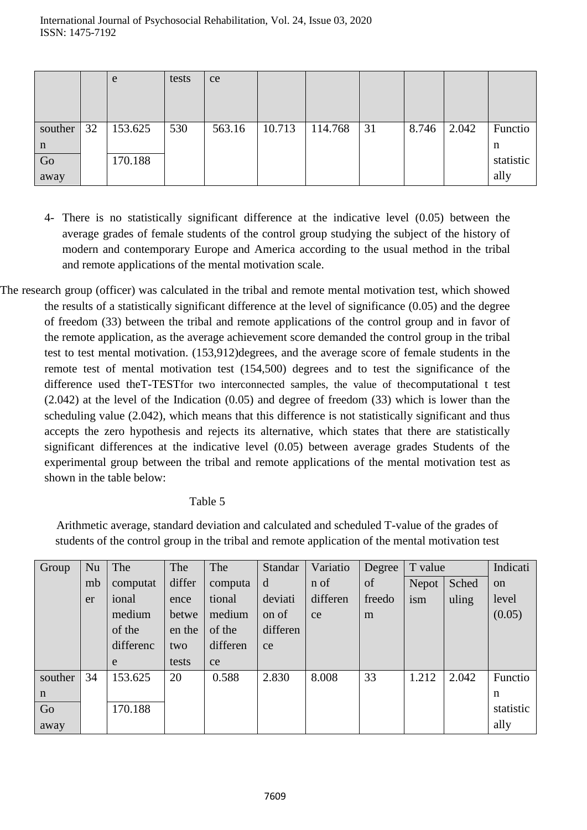|         |    | e       | tests | ce     |        |         |    |       |       |           |
|---------|----|---------|-------|--------|--------|---------|----|-------|-------|-----------|
|         |    |         |       |        |        |         |    |       |       |           |
|         |    |         |       |        |        |         |    |       |       |           |
| souther | 32 | 153.625 | 530   | 563.16 | 10.713 | 114.768 | 31 | 8.746 | 2.042 | Functio   |
| n       |    |         |       |        |        |         |    |       |       | n         |
| Go      |    | 170.188 |       |        |        |         |    |       |       | statistic |
| away    |    |         |       |        |        |         |    |       |       | ally      |

- 4- There is no statistically significant difference at the indicative level (0.05) between the average grades of female students of the control group studying the subject of the history of modern and contemporary Europe and America according to the usual method in the tribal and remote applications of the mental motivation scale.
- The research group (officer) was calculated in the tribal and remote mental motivation test, which showed the results of a statistically significant difference at the level of significance (0.05) and the degree of freedom (33) between the tribal and remote applications of the control group and in favor of the remote application, as the average achievement score demanded the control group in the tribal test to test mental motivation. (153,912)degrees, and the average score of female students in the remote test of mental motivation test (154,500) degrees and to test the significance of the difference used theT-TESTfor two interconnected samples, the value of thecomputational t test (2.042) at the level of the Indication (0.05) and degree of freedom (33) which is lower than the scheduling value (2.042), which means that this difference is not statistically significant and thus accepts the zero hypothesis and rejects its alternative, which states that there are statistically significant differences at the indicative level (0.05) between average grades Students of the experimental group between the tribal and remote applications of the mental motivation test as shown in the table below:

# Table 5

Arithmetic average, standard deviation and calculated and scheduled T-value of the grades of students of the control group in the tribal and remote application of the mental motivation test

| Group       | Nu | The       | The    | The      | Standar  | Variatio | Degree | T value      |       | Indicati  |
|-------------|----|-----------|--------|----------|----------|----------|--------|--------------|-------|-----------|
|             | mb | computat  | differ | computa  | d        | n of     | of     | <b>Nepot</b> | Sched | on        |
|             | er | ional     | ence   | tional   | deviati  | differen | freedo | ism          | uling | level     |
|             |    | medium    | betwe  | medium   | on of    | ce       | m      |              |       | (0.05)    |
|             |    | of the    | en the | of the   | differen |          |        |              |       |           |
|             |    | differenc | two    | differen | ce       |          |        |              |       |           |
|             |    | e         | tests  | ce       |          |          |        |              |       |           |
| souther     | 34 | 153.625   | 20     | 0.588    | 2.830    | 8.008    | 33     | 1.212        | 2.042 | Functio   |
| $\mathbf n$ |    |           |        |          |          |          |        |              |       | n         |
| Go          |    | 170.188   |        |          |          |          |        |              |       | statistic |
| away        |    |           |        |          |          |          |        |              |       | ally      |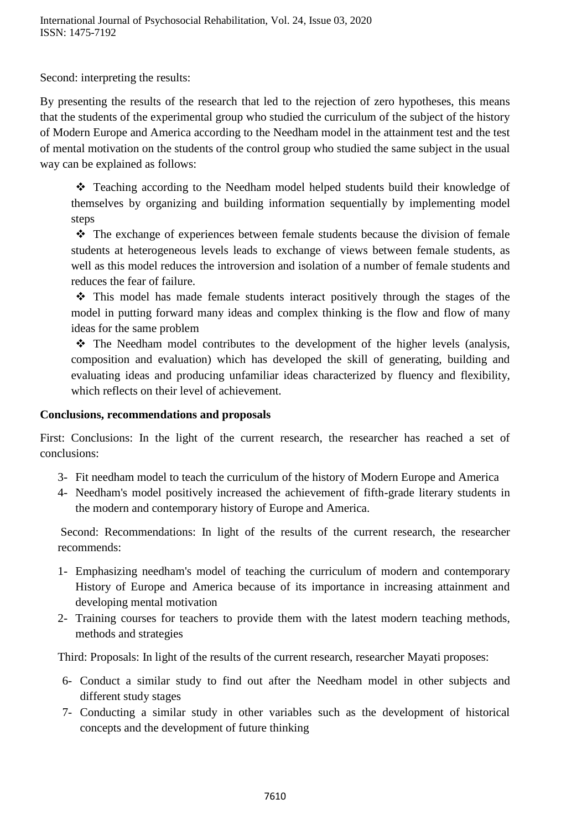Second: interpreting the results:

By presenting the results of the research that led to the rejection of zero hypotheses, this means that the students of the experimental group who studied the curriculum of the subject of the history of Modern Europe and America according to the Needham model in the attainment test and the test of mental motivation on the students of the control group who studied the same subject in the usual way can be explained as follows:

 Teaching according to the Needham model helped students build their knowledge of themselves by organizing and building information sequentially by implementing model steps

 The exchange of experiences between female students because the division of female students at heterogeneous levels leads to exchange of views between female students, as well as this model reduces the introversion and isolation of a number of female students and reduces the fear of failure.

 This model has made female students interact positively through the stages of the model in putting forward many ideas and complex thinking is the flow and flow of many ideas for the same problem

 $\hat{\cdot}$  The Needham model contributes to the development of the higher levels (analysis, composition and evaluation) which has developed the skill of generating, building and evaluating ideas and producing unfamiliar ideas characterized by fluency and flexibility, which reflects on their level of achievement.

### **Conclusions, recommendations and proposals**

First: Conclusions: In the light of the current research, the researcher has reached a set of conclusions:

- 3- Fit needham model to teach the curriculum of the history of Modern Europe and America
- 4- Needham's model positively increased the achievement of fifth-grade literary students in the modern and contemporary history of Europe and America.

Second: Recommendations: In light of the results of the current research, the researcher recommends:

- 1- Emphasizing needham's model of teaching the curriculum of modern and contemporary History of Europe and America because of its importance in increasing attainment and developing mental motivation
- 2- Training courses for teachers to provide them with the latest modern teaching methods, methods and strategies

Third: Proposals: In light of the results of the current research, researcher Mayati proposes:

- 6- Conduct a similar study to find out after the Needham model in other subjects and different study stages
- 7- Conducting a similar study in other variables such as the development of historical concepts and the development of future thinking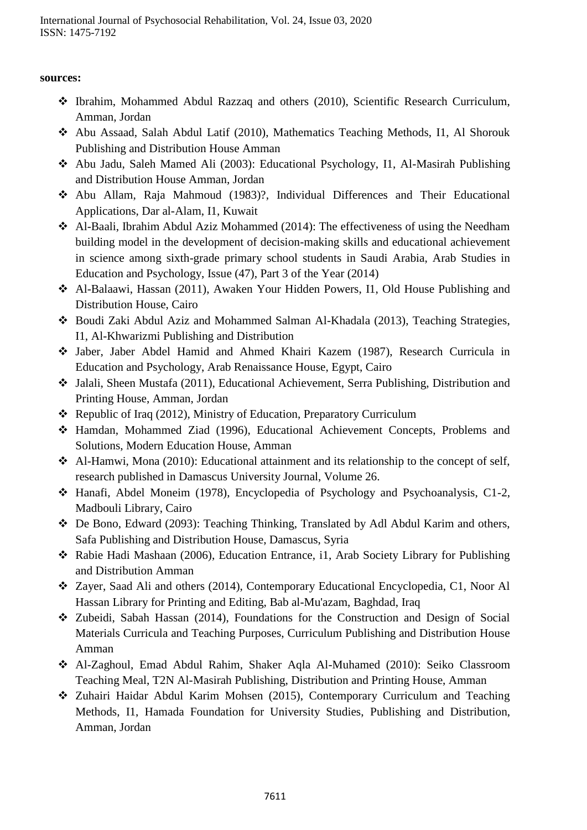# **sources:**

- Ibrahim, Mohammed Abdul Razzaq and others (2010), Scientific Research Curriculum, Amman, Jordan
- Abu Assaad, Salah Abdul Latif (2010), Mathematics Teaching Methods, I1, Al Shorouk Publishing and Distribution House Amman
- Abu Jadu, Saleh Mamed Ali (2003): Educational Psychology, I1, Al-Masirah Publishing and Distribution House Amman, Jordan
- Abu Allam, Raja Mahmoud (1983)?, Individual Differences and Their Educational Applications, Dar al-Alam, I1, Kuwait
- Al-Baali, Ibrahim Abdul Aziz Mohammed (2014): The effectiveness of using the Needham building model in the development of decision-making skills and educational achievement in science among sixth-grade primary school students in Saudi Arabia, Arab Studies in Education and Psychology, Issue (47), Part 3 of the Year (2014)
- Al-Balaawi, Hassan (2011), Awaken Your Hidden Powers, I1, Old House Publishing and Distribution House, Cairo
- Boudi Zaki Abdul Aziz and Mohammed Salman Al-Khadala (2013), Teaching Strategies, I1, Al-Khwarizmi Publishing and Distribution
- Jaber, Jaber Abdel Hamid and Ahmed Khairi Kazem (1987), Research Curricula in Education and Psychology, Arab Renaissance House, Egypt, Cairo
- Jalali, Sheen Mustafa (2011), Educational Achievement, Serra Publishing, Distribution and Printing House, Amman, Jordan
- Republic of Iraq (2012), Ministry of Education, Preparatory Curriculum
- Hamdan, Mohammed Ziad (1996), Educational Achievement Concepts, Problems and Solutions, Modern Education House, Amman
- Al-Hamwi, Mona (2010): Educational attainment and its relationship to the concept of self, research published in Damascus University Journal, Volume 26.
- Hanafi, Abdel Moneim (1978), Encyclopedia of Psychology and Psychoanalysis, C1-2, Madbouli Library, Cairo
- De Bono, Edward (2093): Teaching Thinking, Translated by Adl Abdul Karim and others, Safa Publishing and Distribution House, Damascus, Syria
- Rabie Hadi Mashaan (2006), Education Entrance, i1, Arab Society Library for Publishing and Distribution Amman
- Zayer, Saad Ali and others (2014), Contemporary Educational Encyclopedia, C1, Noor Al Hassan Library for Printing and Editing, Bab al-Mu'azam, Baghdad, Iraq
- Zubeidi, Sabah Hassan (2014), Foundations for the Construction and Design of Social Materials Curricula and Teaching Purposes, Curriculum Publishing and Distribution House Amman
- Al-Zaghoul, Emad Abdul Rahim, Shaker Aqla Al-Muhamed (2010): Seiko Classroom Teaching Meal, T2N Al-Masirah Publishing, Distribution and Printing House, Amman
- Zuhairi Haidar Abdul Karim Mohsen (2015), Contemporary Curriculum and Teaching Methods, I1, Hamada Foundation for University Studies, Publishing and Distribution, Amman, Jordan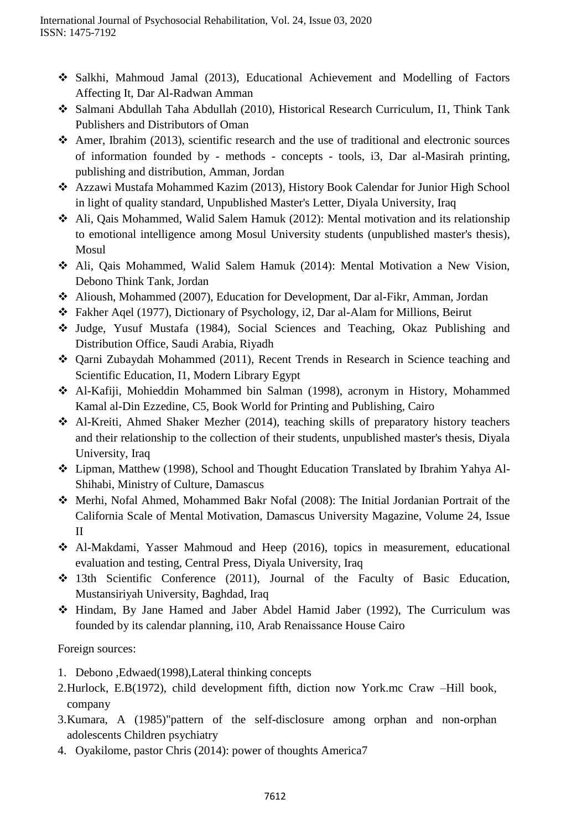- Salkhi, Mahmoud Jamal (2013), Educational Achievement and Modelling of Factors Affecting It, Dar Al-Radwan Amman
- Salmani Abdullah Taha Abdullah (2010), Historical Research Curriculum, I1, Think Tank Publishers and Distributors of Oman
- Amer, Ibrahim (2013), scientific research and the use of traditional and electronic sources of information founded by - methods - concepts - tools, i3, Dar al-Masirah printing, publishing and distribution, Amman, Jordan
- Azzawi Mustafa Mohammed Kazim (2013), History Book Calendar for Junior High School in light of quality standard, Unpublished Master's Letter, Diyala University, Iraq
- Ali, Qais Mohammed, Walid Salem Hamuk (2012): Mental motivation and its relationship to emotional intelligence among Mosul University students (unpublished master's thesis), Mosul
- Ali, Qais Mohammed, Walid Salem Hamuk (2014): Mental Motivation a New Vision, Debono Think Tank, Jordan
- Alioush, Mohammed (2007), Education for Development, Dar al-Fikr, Amman, Jordan
- Fakher Aqel (1977), Dictionary of Psychology, i2, Dar al-Alam for Millions, Beirut
- Judge, Yusuf Mustafa (1984), Social Sciences and Teaching, Okaz Publishing and Distribution Office, Saudi Arabia, Riyadh
- Qarni Zubaydah Mohammed (2011), Recent Trends in Research in Science teaching and Scientific Education, I1, Modern Library Egypt
- Al-Kafiji, Mohieddin Mohammed bin Salman (1998), acronym in History, Mohammed Kamal al-Din Ezzedine, C5, Book World for Printing and Publishing, Cairo
- Al-Kreiti, Ahmed Shaker Mezher (2014), teaching skills of preparatory history teachers and their relationship to the collection of their students, unpublished master's thesis, Diyala University, Iraq
- Lipman, Matthew (1998), School and Thought Education Translated by Ibrahim Yahya Al-Shihabi, Ministry of Culture, Damascus
- Merhi, Nofal Ahmed, Mohammed Bakr Nofal (2008): The Initial Jordanian Portrait of the California Scale of Mental Motivation, Damascus University Magazine, Volume 24, Issue II
- Al-Makdami, Yasser Mahmoud and Heep (2016), topics in measurement, educational evaluation and testing, Central Press, Diyala University, Iraq
- 13th Scientific Conference (2011), Journal of the Faculty of Basic Education, Mustansiriyah University, Baghdad, Iraq
- Hindam, By Jane Hamed and Jaber Abdel Hamid Jaber (1992), The Curriculum was founded by its calendar planning, i10, Arab Renaissance House Cairo

Foreign sources:

- 1. Debono ,Edwaed(1998),Lateral thinking concepts
- 2.Hurlock, E.B(1972), child development fifth, diction now York.mc Craw –Hill book, company
- 3.Kumara, A (1985)"pattern of the self-disclosure among orphan and non-orphan adolescents Children psychiatry
- 4. Oyakilome, pastor Chris (2014): power of thoughts America7